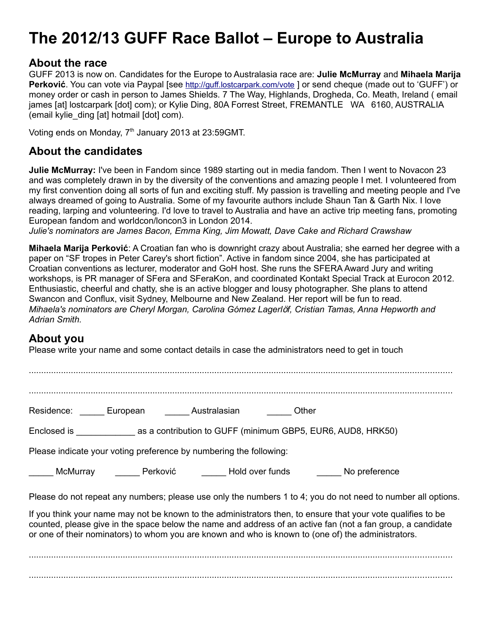# **The 2012/13 GUFF Race Ballot – Europe to Australia**

#### **About the race**

GUFF 2013 is now on. Candidates for the Europe to Australasia race are: **Julie McMurray** and **Mihaela Marija Perković**. You can vote via Paypal [see <http://guff.lostcarpark.com/vote> ] or send cheque (made out to 'GUFF') or money order or cash in person to James Shields. 7 The Way, Highlands, Drogheda, Co. Meath, Ireland ( email james [at] lostcarpark [dot] com); or Kylie Ding, 80A Forrest Street, FREMANTLE WA 6160, AUSTRALIA (email kylie\_ding [at] hotmail [dot] com).

Voting ends on Monday, 7<sup>th</sup> January 2013 at 23:59GMT.

## **About the candidates**

**Julie McMurray:** I've been in Fandom since 1989 starting out in media fandom. Then I went to Novacon 23 and was completely drawn in by the diversity of the conventions and amazing people I met. I volunteered from my first convention doing all sorts of fun and exciting stuff. My passion is travelling and meeting people and I've always dreamed of going to Australia. Some of my favourite authors include Shaun Tan & Garth Nix. I love reading, larping and volunteering. I'd love to travel to Australia and have an active trip meeting fans, promoting European fandom and worldcon/loncon3 in London 2014.

*Julie's nominators are James Bacon, Emma King, Jim Mowatt, Dave Cake and Richard Crawshaw*

**Mihaela Marija Perković**: A Croatian fan who is downright crazy about Australia; she earned her degree with a paper on "SF tropes in Peter Carey's short fiction". Active in fandom since 2004, she has participated at Croatian conventions as lecturer, moderator and GoH host. She runs the SFERA Award Jury and writing workshops, is PR manager of SFera and SFeraKon, and coordinated Kontakt Special Track at Eurocon 2012. Enthusiastic, cheerful and chatty, she is an active blogger and lousy photographer. She plans to attend Swancon and Conflux, visit Sydney, Melbourne and New Zealand. Her report will be fun to read. *Mihaela's nominators are Cheryl Morgan, Carolina Gómez Lagerl*ö*f, Cristian Tamas, Anna Hepworth and Adrian Smith.*

## **About you**

Please write your name and some contact details in case the administrators need to get in touch

........................................................................................................................................................................... ........................................................................................................................................................................... Residence: European Australasian Other Enclosed is \_\_\_\_\_\_\_\_\_\_\_\_ as a contribution to GUFF (minimum GBP5, EUR6, AUD8, HRK50) Please indicate your voting preference by numbering the following: \_\_\_\_\_ McMurray \_\_\_\_\_ Perković \_\_\_\_\_ Hold over funds \_\_\_\_\_ No preference Please do not repeat any numbers; please use only the numbers 1 to 4; you do not need to number all options. If you think your name may not be known to the administrators then, to ensure that your vote qualifies to be counted, please give in the space below the name and address of an active fan (not a fan group, a candidate or one of their nominators) to whom you are known and who is known to (one of) the administrators. ........................................................................................................................................................................... ...........................................................................................................................................................................